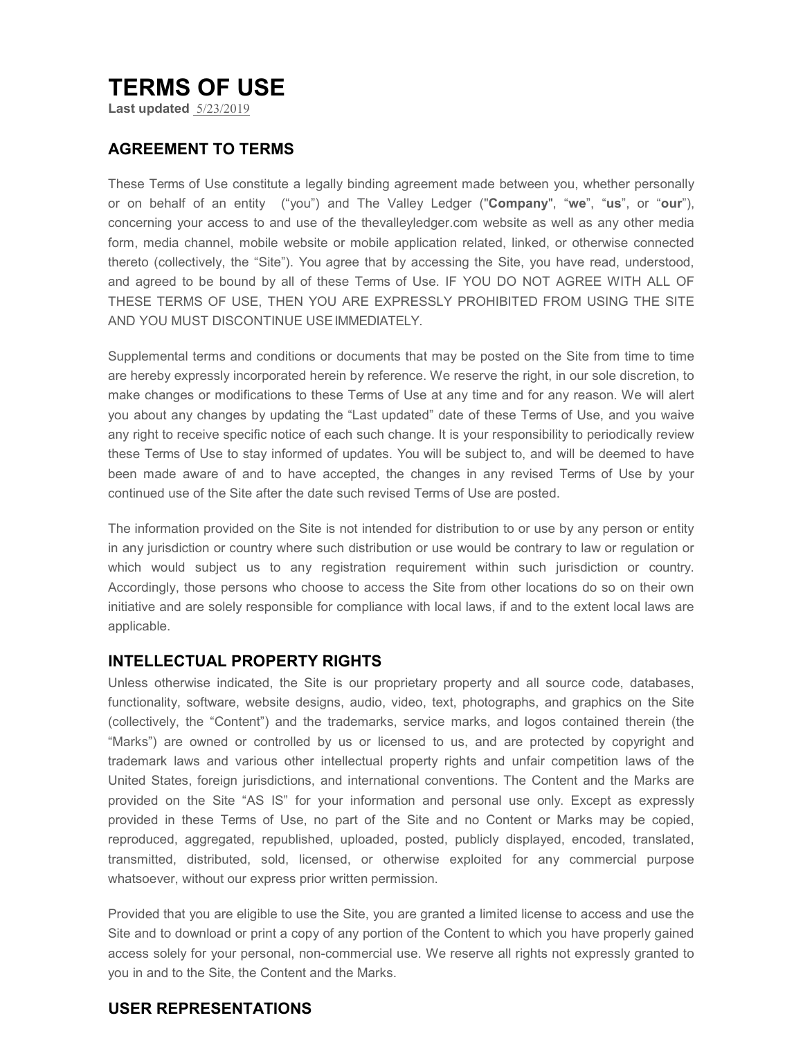# **TERMS OF USE**

**Last updated** 5/23/2019

#### **AGREEMENT TO TERMS**

These Terms of Use constitute a legally binding agreement made between you, whether personally or on behalf of an entity ("you") and The Valley Ledger ("**Company**", "**we**", "**us**", or "**our**"), concerning your access to and use of the thevalleyledger.com website as well as any other media form, media channel, mobile website or mobile application related, linked, or otherwise connected thereto (collectively, the "Site"). You agree that by accessing the Site, you have read, understood, and agreed to be bound by all of these Terms of Use. IF YOU DO NOT AGREE WITH ALL OF THESE TERMS OF USE, THEN YOU ARE EXPRESSLY PROHIBITED FROM USING THE SITE AND YOU MUST DISCONTINUE USEIMMEDIATELY.

Supplemental terms and conditions or documents that may be posted on the Site from time to time are hereby expressly incorporated herein by reference. We reserve the right, in our sole discretion, to make changes or modifications to these Terms of Use at any time and for any reason. We will alert you about any changes by updating the "Last updated" date of these Terms of Use, and you waive any right to receive specific notice of each such change. It is your responsibility to periodically review these Terms of Use to stay informed of updates. You will be subject to, and will be deemed to have been made aware of and to have accepted, the changes in any revised Terms of Use by your continued use of the Site after the date such revised Terms of Use are posted.

The information provided on the Site is not intended for distribution to or use by any person or entity in any jurisdiction or country where such distribution or use would be contrary to law or regulation or which would subject us to any registration requirement within such jurisdiction or country. Accordingly, those persons who choose to access the Site from other locations do so on their own initiative and are solely responsible for compliance with local laws, if and to the extent local laws are applicable.

#### **INTELLECTUAL PROPERTY RIGHTS**

Unless otherwise indicated, the Site is our proprietary property and all source code, databases, functionality, software, website designs, audio, video, text, photographs, and graphics on the Site (collectively, the "Content") and the trademarks, service marks, and logos contained therein (the "Marks") are owned or controlled by us or licensed to us, and are protected by copyright and trademark laws and various other intellectual property rights and unfair competition laws of the United States, foreign jurisdictions, and international conventions. The Content and the Marks are provided on the Site "AS IS" for your information and personal use only. Except as expressly provided in these Terms of Use, no part of the Site and no Content or Marks may be copied, reproduced, aggregated, republished, uploaded, posted, publicly displayed, encoded, translated, transmitted, distributed, sold, licensed, or otherwise exploited for any commercial purpose whatsoever, without our express prior written permission.

Provided that you are eligible to use the Site, you are granted a limited license to access and use the Site and to download or print a copy of any portion of the Content to which you have properly gained access solely for your personal, non-commercial use. We reserve all rights not expressly granted to you in and to the Site, the Content and the Marks.

# **USER REPRESENTATIONS**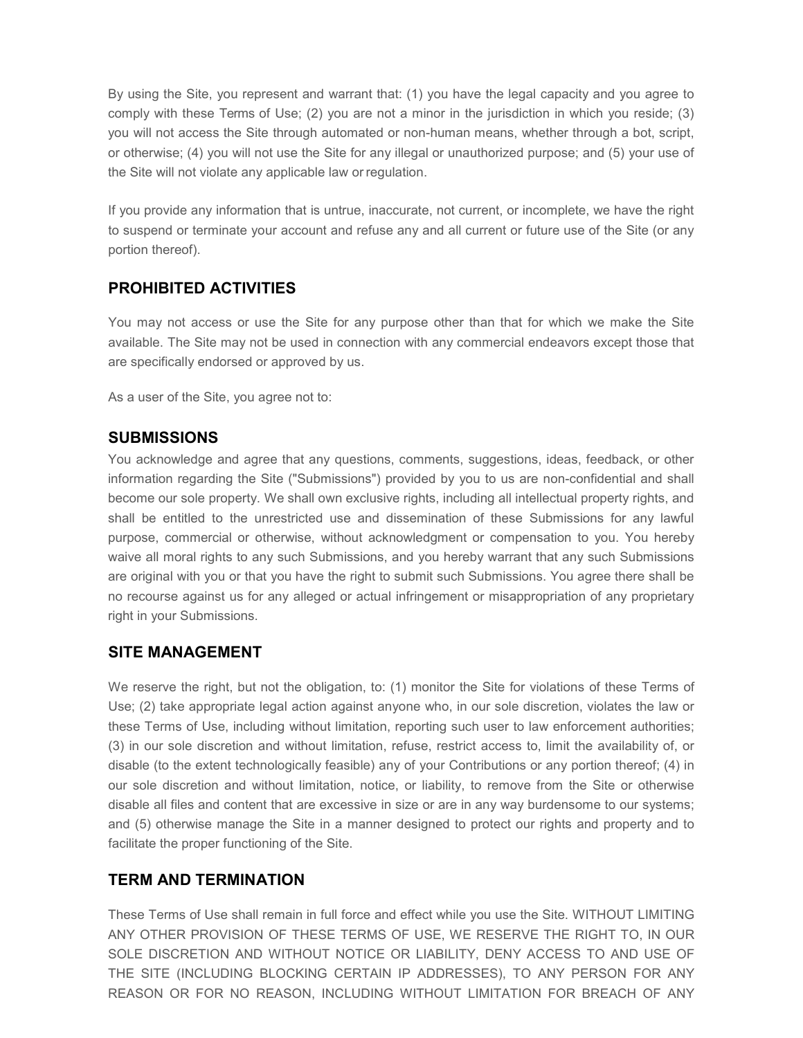By using the Site, you represent and warrant that: (1) you have the legal capacity and you agree to comply with these Terms of Use; (2) you are not a minor in the jurisdiction in which you reside; (3) you will not access the Site through automated or non-human means, whether through a bot, script, or otherwise; (4) you will not use the Site for any illegal or unauthorized purpose; and (5) your use of the Site will not violate any applicable law or regulation.

If you provide any information that is untrue, inaccurate, not current, or incomplete, we have the right to suspend or terminate your account and refuse any and all current or future use of the Site (or any portion thereof).

# **PROHIBITED ACTIVITIES**

You may not access or use the Site for any purpose other than that for which we make the Site available. The Site may not be used in connection with any commercial endeavors except those that are specifically endorsed or approved by us.

As a user of the Site, you agree not to:

# **SUBMISSIONS**

You acknowledge and agree that any questions, comments, suggestions, ideas, feedback, or other information regarding the Site ("Submissions") provided by you to us are non-confidential and shall become our sole property. We shall own exclusive rights, including all intellectual property rights, and shall be entitled to the unrestricted use and dissemination of these Submissions for any lawful purpose, commercial or otherwise, without acknowledgment or compensation to you. You hereby waive all moral rights to any such Submissions, and you hereby warrant that any such Submissions are original with you or that you have the right to submit such Submissions. You agree there shall be no recourse against us for any alleged or actual infringement or misappropriation of any proprietary right in your Submissions.

# **SITE MANAGEMENT**

We reserve the right, but not the obligation, to: (1) monitor the Site for violations of these Terms of Use; (2) take appropriate legal action against anyone who, in our sole discretion, violates the law or these Terms of Use, including without limitation, reporting such user to law enforcement authorities; (3) in our sole discretion and without limitation, refuse, restrict access to, limit the availability of, or disable (to the extent technologically feasible) any of your Contributions or any portion thereof; (4) in our sole discretion and without limitation, notice, or liability, to remove from the Site or otherwise disable all files and content that are excessive in size or are in any way burdensome to our systems; and (5) otherwise manage the Site in a manner designed to protect our rights and property and to facilitate the proper functioning of the Site.

# **TERM AND TERMINATION**

These Terms of Use shall remain in full force and effect while you use the Site. WITHOUT LIMITING ANY OTHER PROVISION OF THESE TERMS OF USE, WE RESERVE THE RIGHT TO, IN OUR SOLE DISCRETION AND WITHOUT NOTICE OR LIABILITY, DENY ACCESS TO AND USE OF THE SITE (INCLUDING BLOCKING CERTAIN IP ADDRESSES), TO ANY PERSON FOR ANY REASON OR FOR NO REASON, INCLUDING WITHOUT LIMITATION FOR BREACH OF ANY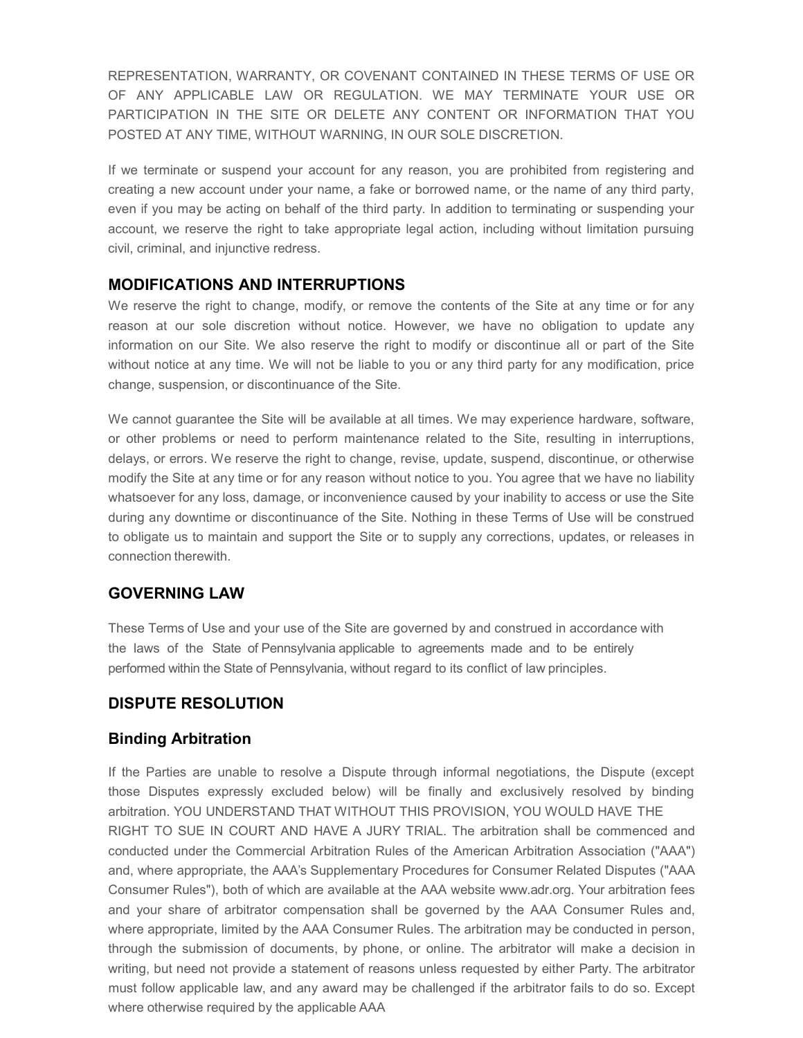REPRESENTATION, WARRANTY, OR COVENANT CONTAINED IN THESE TERMS OF USE OR OF ANY APPLICABLE LAW OR REGULATION. WE MAY TERMINATE YOUR USE OR PARTICIPATION IN THE SITE OR DELETE ANY CONTENT OR INFORMATION THAT YOU POSTED AT ANY TIME, WITHOUT WARNING, IN OUR SOLE DISCRETION.

If we terminate or suspend your account for any reason, you are prohibited from registering and creating a new account under your name, a fake or borrowed name, or the name of any third party, even if you may be acting on behalf of the third party. In addition to terminating or suspending your account, we reserve the right to take appropriate legal action, including without limitation pursuing civil, criminal, and injunctive redress.

### **MODIFICATIONS AND INTERRUPTIONS**

We reserve the right to change, modify, or remove the contents of the Site at any time or for any reason at our sole discretion without notice. However, we have no obligation to update any information on our Site. We also reserve the right to modify or discontinue all or part of the Site without notice at any time. We will not be liable to you or any third party for any modification, price change, suspension, or discontinuance of the Site.

We cannot guarantee the Site will be available at all times. We may experience hardware, software, or other problems or need to perform maintenance related to the Site, resulting in interruptions, delays, or errors. We reserve the right to change, revise, update, suspend, discontinue, or otherwise modify the Site at any time or for any reason without notice to you. You agree that we have no liability whatsoever for any loss, damage, or inconvenience caused by your inability to access or use the Site during any downtime or discontinuance of the Site. Nothing in these Terms of Use will be construed to obligate us to maintain and support the Site or to supply any corrections, updates, or releases in connection therewith.

# **GOVERNING LAW**

These Terms of Use and your use of the Site are governed by and construed in accordance with the laws of the State of Pennsylvania applicable to agreements made and to be entirely performed within the State of Pennsylvania, without regard to its conflict of law principles.

# **DISPUTE RESOLUTION**

#### **Binding Arbitration**

If the Parties are unable to resolve a Dispute through informal negotiations, the Dispute (except those Disputes expressly excluded below) will be finally and exclusively resolved by binding arbitration. YOU UNDERSTAND THAT WITHOUT THIS PROVISION, YOU WOULD HAVE THE RIGHT TO SUE IN COURT AND HAVE A JURY TRIAL. The arbitration shall be commenced and conducted under the Commercial Arbitration Rules of the American Arbitration Association ("AAA") and, where appropriate, the AAA's Supplementary Procedures for Consumer Related Disputes ("AAA Consumer Rules"), both of which are available at the AAA website [www.adr.org.](http://www.adr.org/) Your arbitration fees and your share of arbitrator compensation shall be governed by the AAA Consumer Rules and, where appropriate, limited by the AAA Consumer Rules. The arbitration may be conducted in person, through the submission of documents, by phone, or online. The arbitrator will make a decision in writing, but need not provide a statement of reasons unless requested by either Party. The arbitrator must follow applicable law, and any award may be challenged if the arbitrator fails to do so. Except where otherwise required by the applicable AAA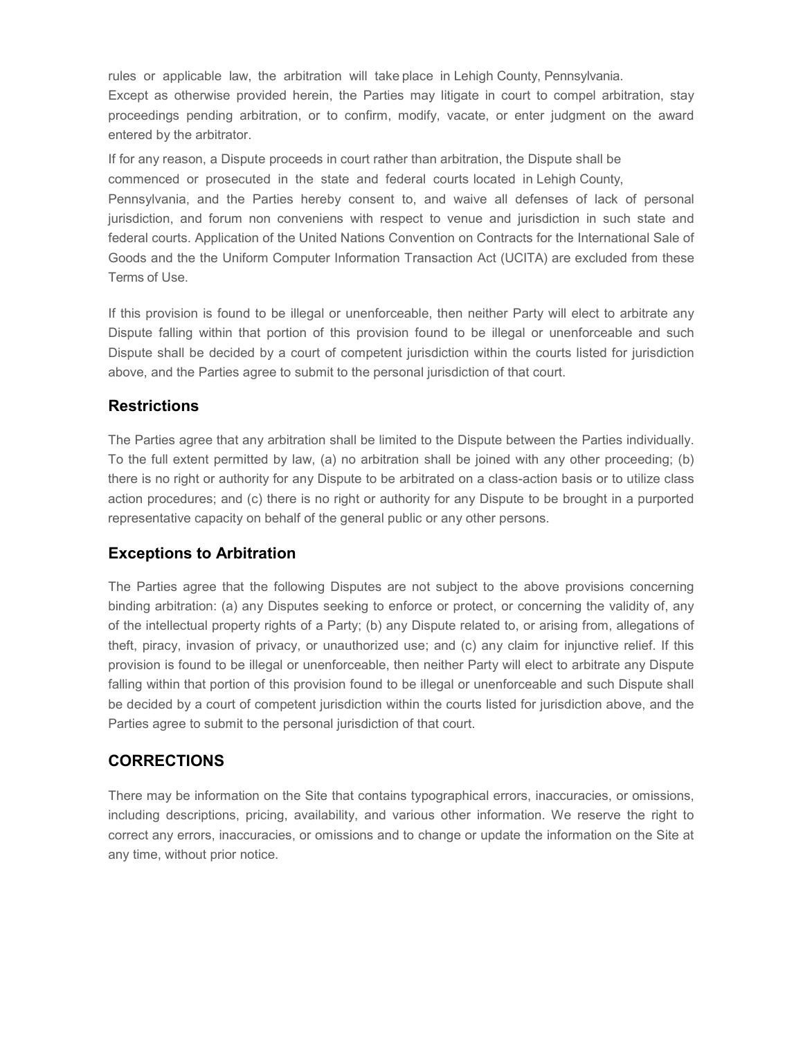rules or applicable law, the arbitration will take place in Lehigh County, Pennsylvania. Except as otherwise provided herein, the Parties may litigate in court to compel arbitration, stay proceedings pending arbitration, or to confirm, modify, vacate, or enter judgment on the award entered by the arbitrator.

If for any reason, a Dispute proceeds in court rather than arbitration, the Dispute shall be commenced or prosecuted in the state and federal courts located in Lehigh County, Pennsylvania, and the Parties hereby consent to, and waive all defenses of lack of personal jurisdiction, and forum non conveniens with respect to venue and jurisdiction in such state and federal courts. Application of the United Nations Convention on Contracts for the International Sale of Goods and the the Uniform Computer Information Transaction Act (UCITA) are excluded from these Terms of Use.

If this provision is found to be illegal or unenforceable, then neither Party will elect to arbitrate any Dispute falling within that portion of this provision found to be illegal or unenforceable and such Dispute shall be decided by a court of competent jurisdiction within the courts listed for jurisdiction above, and the Parties agree to submit to the personal jurisdiction of that court.

### **Restrictions**

The Parties agree that any arbitration shall be limited to the Dispute between the Parties individually. To the full extent permitted by law, (a) no arbitration shall be joined with any other proceeding; (b) there is no right or authority for any Dispute to be arbitrated on a class-action basis or to utilize class action procedures; and (c) there is no right or authority for any Dispute to be brought in a purported representative capacity on behalf of the general public or any other persons.

# **Exceptions to Arbitration**

The Parties agree that the following Disputes are not subject to the above provisions concerning binding arbitration: (a) any Disputes seeking to enforce or protect, or concerning the validity of, any of the intellectual property rights of a Party; (b) any Dispute related to, or arising from, allegations of theft, piracy, invasion of privacy, or unauthorized use; and (c) any claim for injunctive relief. If this provision is found to be illegal or unenforceable, then neither Party will elect to arbitrate any Dispute falling within that portion of this provision found to be illegal or unenforceable and such Dispute shall be decided by a court of competent jurisdiction within the courts listed for jurisdiction above, and the Parties agree to submit to the personal jurisdiction of that court.

# **CORRECTIONS**

There may be information on the Site that contains typographical errors, inaccuracies, or omissions, including descriptions, pricing, availability, and various other information. We reserve the right to correct any errors, inaccuracies, or omissions and to change or update the information on the Site at any time, without prior notice.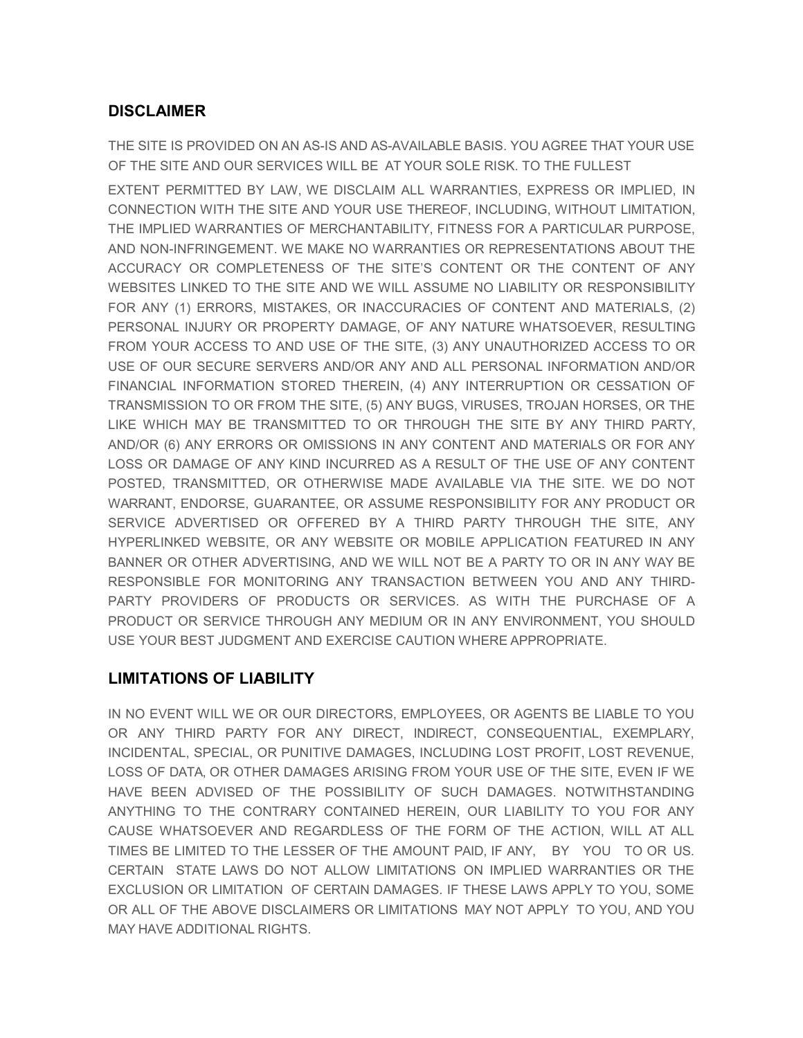# **DISCLAIMER**

THE SITE IS PROVIDED ON AN AS-IS AND AS-AVAILABLE BASIS. YOU AGREE THAT YOUR USE OF THE SITE AND OUR SERVICES WILL BE AT YOUR SOLE RISK. TO THE FULLEST

EXTENT PERMITTED BY LAW, WE DISCLAIM ALL WARRANTIES, EXPRESS OR IMPLIED, IN CONNECTION WITH THE SITE AND YOUR USE THEREOF, INCLUDING, WITHOUT LIMITATION, THE IMPLIED WARRANTIES OF MERCHANTABILITY, FITNESS FOR A PARTICULAR PURPOSE, AND NON-INFRINGEMENT. WE MAKE NO WARRANTIES OR REPRESENTATIONS ABOUT THE ACCURACY OR COMPLETENESS OF THE SITE'S CONTENT OR THE CONTENT OF ANY WEBSITES LINKED TO THE SITE AND WE WILL ASSUME NO LIABILITY OR RESPONSIBILITY FOR ANY (1) ERRORS, MISTAKES, OR INACCURACIES OF CONTENT AND MATERIALS, (2) PERSONAL INJURY OR PROPERTY DAMAGE, OF ANY NATURE WHATSOEVER, RESULTING FROM YOUR ACCESS TO AND USE OF THE SITE, (3) ANY UNAUTHORIZED ACCESS TO OR USE OF OUR SECURE SERVERS AND/OR ANY AND ALL PERSONAL INFORMATION AND/OR FINANCIAL INFORMATION STORED THEREIN, (4) ANY INTERRUPTION OR CESSATION OF TRANSMISSION TO OR FROM THE SITE, (5) ANY BUGS, VIRUSES, TROJAN HORSES, OR THE LIKE WHICH MAY BE TRANSMITTED TO OR THROUGH THE SITE BY ANY THIRD PARTY, AND/OR (6) ANY ERRORS OR OMISSIONS IN ANY CONTENT AND MATERIALS OR FOR ANY LOSS OR DAMAGE OF ANY KIND INCURRED AS A RESULT OF THE USE OF ANY CONTENT POSTED, TRANSMITTED, OR OTHERWISE MADE AVAILABLE VIA THE SITE. WE DO NOT WARRANT, ENDORSE, GUARANTEE, OR ASSUME RESPONSIBILITY FOR ANY PRODUCT OR SERVICE ADVERTISED OR OFFERED BY A THIRD PARTY THROUGH THE SITE, ANY HYPERLINKED WEBSITE, OR ANY WEBSITE OR MOBILE APPLICATION FEATURED IN ANY BANNER OR OTHER ADVERTISING, AND WE WILL NOT BE A PARTY TO OR IN ANY WAY BE RESPONSIBLE FOR MONITORING ANY TRANSACTION BETWEEN YOU AND ANY THIRD-PARTY PROVIDERS OF PRODUCTS OR SERVICES. AS WITH THE PURCHASE OF A PRODUCT OR SERVICE THROUGH ANY MEDIUM OR IN ANY ENVIRONMENT, YOU SHOULD USE YOUR BEST JUDGMENT AND EXERCISE CAUTION WHERE APPROPRIATE.

# **LIMITATIONS OF LIABILITY**

IN NO EVENT WILL WE OR OUR DIRECTORS, EMPLOYEES, OR AGENTS BE LIABLE TO YOU OR ANY THIRD PARTY FOR ANY DIRECT, INDIRECT, CONSEQUENTIAL, EXEMPLARY, INCIDENTAL, SPECIAL, OR PUNITIVE DAMAGES, INCLUDING LOST PROFIT, LOST REVENUE, LOSS OF DATA, OR OTHER DAMAGES ARISING FROM YOUR USE OF THE SITE, EVEN IF WE HAVE BEEN ADVISED OF THE POSSIBILITY OF SUCH DAMAGES. NOTWITHSTANDING ANYTHING TO THE CONTRARY CONTAINED HEREIN, OUR LIABILITY TO YOU FOR ANY CAUSE WHATSOEVER AND REGARDLESS OF THE FORM OF THE ACTION, WILL AT ALL TIMES BE LIMITED TO THE LESSER OF THE AMOUNT PAID, IF ANY, BY YOU TO OR US. CERTAIN STATE LAWS DO NOT ALLOW LIMITATIONS ON IMPLIED WARRANTIES OR THE EXCLUSION OR LIMITATION OF CERTAIN DAMAGES. IF THESE LAWS APPLY TO YOU, SOME OR ALL OF THE ABOVE DISCLAIMERS OR LIMITATIONS MAY NOT APPLY TO YOU, AND YOU MAY HAVE ADDITIONAL RIGHTS.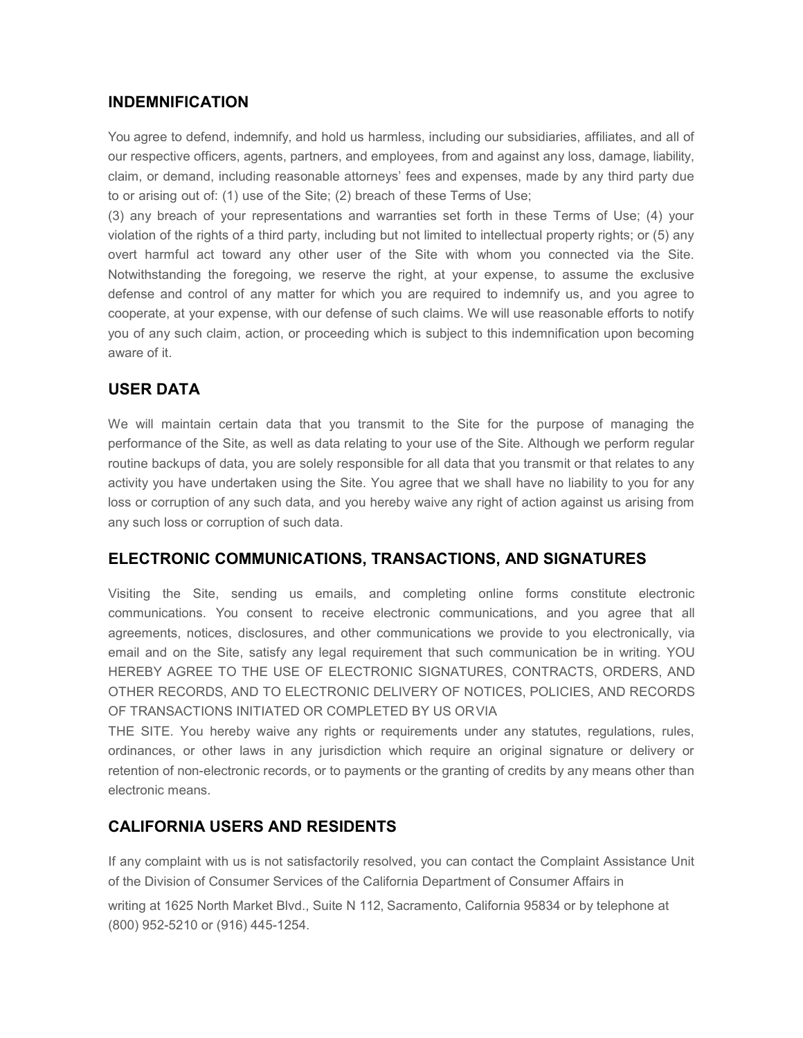#### **INDEMNIFICATION**

You agree to defend, indemnify, and hold us harmless, including our subsidiaries, affiliates, and all of our respective officers, agents, partners, and employees, from and against any loss, damage, liability, claim, or demand, including reasonable attorneys' fees and expenses, made by any third party due to or arising out of: (1) use of the Site; (2) breach of these Terms of Use;

(3) any breach of your representations and warranties set forth in these Terms of Use; (4) your violation of the rights of a third party, including but not limited to intellectual property rights; or (5) any overt harmful act toward any other user of the Site with whom you connected via the Site. Notwithstanding the foregoing, we reserve the right, at your expense, to assume the exclusive defense and control of any matter for which you are required to indemnify us, and you agree to cooperate, at your expense, with our defense of such claims. We will use reasonable efforts to notify you of any such claim, action, or proceeding which is subject to this indemnification upon becoming aware of it.

# **USER DATA**

We will maintain certain data that you transmit to the Site for the purpose of managing the performance of the Site, as well as data relating to your use of the Site. Although we perform regular routine backups of data, you are solely responsible for all data that you transmit or that relates to any activity you have undertaken using the Site. You agree that we shall have no liability to you for any loss or corruption of any such data, and you hereby waive any right of action against us arising from any such loss or corruption of such data.

# **ELECTRONIC COMMUNICATIONS, TRANSACTIONS, AND SIGNATURES**

Visiting the Site, sending us emails, and completing online forms constitute electronic communications. You consent to receive electronic communications, and you agree that all agreements, notices, disclosures, and other communications we provide to you electronically, via email and on the Site, satisfy any legal requirement that such communication be in writing. YOU HEREBY AGREE TO THE USE OF ELECTRONIC SIGNATURES, CONTRACTS, ORDERS, AND OTHER RECORDS, AND TO ELECTRONIC DELIVERY OF NOTICES, POLICIES, AND RECORDS OF TRANSACTIONS INITIATED OR COMPLETED BY US ORVIA

THE SITE. You hereby waive any rights or requirements under any statutes, regulations, rules, ordinances, or other laws in any jurisdiction which require an original signature or delivery or retention of non-electronic records, or to payments or the granting of credits by any means other than electronic means.

# **CALIFORNIA USERS AND RESIDENTS**

If any complaint with us is not satisfactorily resolved, you can contact the Complaint Assistance Unit of the Division of Consumer Services of the California Department of Consumer Affairs in

writing at 1625 North Market Blvd., Suite N 112, Sacramento, California 95834 or by telephone at (800) 952-5210 or (916) 445-1254.